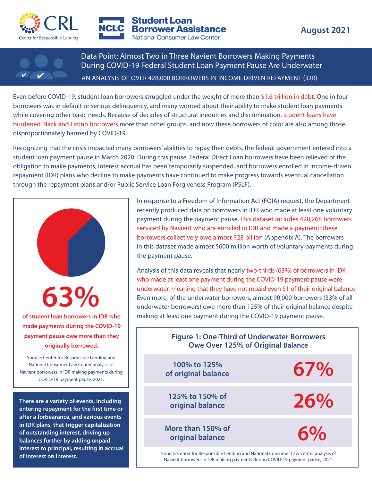



**Student Loan Borrower Assistance National Consumer Law Center** 



Data Point: Almost Two in Three Navient Borrowers Making Payments During COVID-19 Federal Student Loan Payment Pause Are Underwater AN ANALYSIS OF OVER 428,000 BORROWERS IN INCOME DRIVEN REPAYMENT (IDR)

Even before COVID-19, student loan borrowers struggled under the weight of more than \$1.6 trillion in debt. One in four borrowers was in default or serious delinquency, and many worried about their ability to make student loan payments while covering other basic needs. Because of decades of structural inequities and discrimination, student loans have burdened Black and Latino borrowers more than other groups, and now these borrowers of color are also among those disproportionately harmed by COVID-19.

Recognizing that the crisis impacted many borrowers' abilities to repay their debts, the federal government entered into a student loan payment pause in March 2020. During this pause, Federal Direct Loan borrowers have been relieved of the obligation to make payments, interest accrual has been temporarily suspended, and borrowers enrolled in income-driven repayment (IDR) plans who decline to make payments have continued to make progress towards eventual cancellation through the repayment plans and/or Public Service Loan Forgiveness Program (PSLF).



In response to a Freedom of Information Act (FOIA) request, the Department recently produced data on borrowers in IDR who made at least one voluntary payment during the payment pause. This dataset includes 428,268 borrowers serviced by Navient who are enrolled in IDR and made a payment; these borrowers collectively owe almost \$28 billion (Appendix A). The borrowers in this dataset made almost \$600 million worth of voluntary payments during the payment pause.

Analysis of this data reveals that nearly two-thirds (63%) of borrowers in IDR who made at least one payment during the COVID-19 payment pause were underwater, meaning that they have not repaid even \$1 of their original balance. Even more, of the underwater borrowers, almost 90,000 borrowers (33% of all underwater borrowers) owe more than 125% of their original balance despite **of student loan borrowers in IDR who** | making at least one payment during the COVID-19 payment pause.

| payment pause owe more than they<br>originally borrowed.                                                                                                                                                                                                 | <b>Figure 1: One-Third of Underwater Borrowers</b><br><b>Owe Over 125% of Original Balance</b>                                                                       |     |
|----------------------------------------------------------------------------------------------------------------------------------------------------------------------------------------------------------------------------------------------------------|----------------------------------------------------------------------------------------------------------------------------------------------------------------------|-----|
| Source: Center for Responsible Lending and<br>National Consumer Law Center analysis of<br>Navient borrowers in IDR making payments during<br>COVID-19 payment pause, 2021.                                                                               | 100% to 125%<br>of original balance                                                                                                                                  | 67% |
| There are a variety of events, including<br>entering repayment for the first time or<br>after a forbearance, and various events<br>in IDR plans, that trigger capitalization<br>of outstanding interest, driving up<br>balances further by adding unpaid | 125% to 150% of<br>original balance                                                                                                                                  | 26% |
|                                                                                                                                                                                                                                                          | More than 150% of<br>original balance                                                                                                                                | 6%  |
| interest to principal, resulting in accrual<br>of interest on interest.                                                                                                                                                                                  | Source: Center for Responsible Lending and National Consumer Law Center analysis of<br>Navient borrowers in IDR making payments during COVID-19 payment pause, 2021. |     |